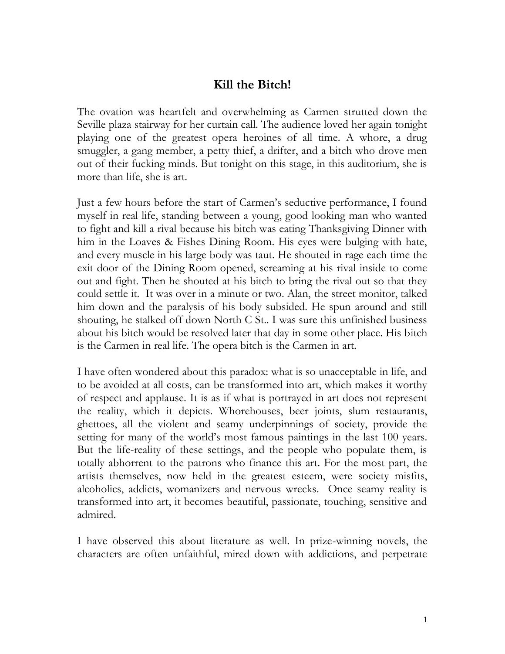## **Kill the Bitch!**

The ovation was heartfelt and overwhelming as Carmen strutted down the Seville plaza stairway for her curtain call. The audience loved her again tonight playing one of the greatest opera heroines of all time. A whore, a drug smuggler, a gang member, a petty thief, a drifter, and a bitch who drove men out of their fucking minds. But tonight on this stage, in this auditorium, she is more than life, she is art.

Just a few hours before the start of Carmen's seductive performance, I found myself in real life, standing between a young, good looking man who wanted to fight and kill a rival because his bitch was eating Thanksgiving Dinner with him in the Loaves & Fishes Dining Room. His eyes were bulging with hate, and every muscle in his large body was taut. He shouted in rage each time the exit door of the Dining Room opened, screaming at his rival inside to come out and fight. Then he shouted at his bitch to bring the rival out so that they could settle it. It was over in a minute or two. Alan, the street monitor, talked him down and the paralysis of his body subsided. He spun around and still shouting, he stalked off down North C St.. I was sure this unfinished business about his bitch would be resolved later that day in some other place. His bitch is the Carmen in real life. The opera bitch is the Carmen in art.

I have often wondered about this paradox: what is so unacceptable in life, and to be avoided at all costs, can be transformed into art, which makes it worthy of respect and applause. It is as if what is portrayed in art does not represent the reality, which it depicts. Whorehouses, beer joints, slum restaurants, ghettoes, all the violent and seamy underpinnings of society, provide the setting for many of the world's most famous paintings in the last 100 years. But the life-reality of these settings, and the people who populate them, is totally abhorrent to the patrons who finance this art. For the most part, the artists themselves, now held in the greatest esteem, were society misfits, alcoholics, addicts, womanizers and nervous wrecks. Once seamy reality is transformed into art, it becomes beautiful, passionate, touching, sensitive and admired.

I have observed this about literature as well. In prize-winning novels, the characters are often unfaithful, mired down with addictions, and perpetrate